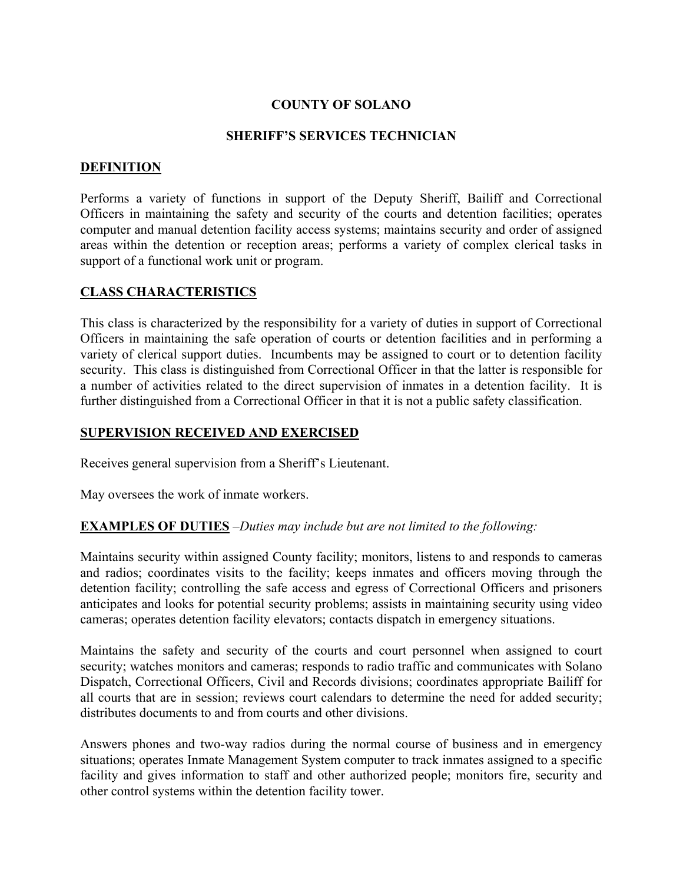# **COUNTY OF SOLANO**

#### **SHERIFF'S SERVICES TECHNICIAN**

## **DEFINITION**

Performs a variety of functions in support of the Deputy Sheriff, Bailiff and Correctional Officers in maintaining the safety and security of the courts and detention facilities; operates computer and manual detention facility access systems; maintains security and order of assigned areas within the detention or reception areas; performs a variety of complex clerical tasks in support of a functional work unit or program.

#### **CLASS CHARACTERISTICS**

This class is characterized by the responsibility for a variety of duties in support of Correctional Officers in maintaining the safe operation of courts or detention facilities and in performing a variety of clerical support duties. Incumbents may be assigned to court or to detention facility security. This class is distinguished from Correctional Officer in that the latter is responsible for a number of activities related to the direct supervision of inmates in a detention facility. It is further distinguished from a Correctional Officer in that it is not a public safety classification.

## **SUPERVISION RECEIVED AND EXERCISED**

Receives general supervision from a Sheriff's Lieutenant.

May oversees the work of inmate workers.

#### **EXAMPLES OF DUTIES** *–Duties may include but are not limited to the following:*

Maintains security within assigned County facility; monitors, listens to and responds to cameras and radios; coordinates visits to the facility; keeps inmates and officers moving through the detention facility; controlling the safe access and egress of Correctional Officers and prisoners anticipates and looks for potential security problems; assists in maintaining security using video cameras; operates detention facility elevators; contacts dispatch in emergency situations.

Maintains the safety and security of the courts and court personnel when assigned to court security; watches monitors and cameras; responds to radio traffic and communicates with Solano Dispatch, Correctional Officers, Civil and Records divisions; coordinates appropriate Bailiff for all courts that are in session; reviews court calendars to determine the need for added security; distributes documents to and from courts and other divisions.

Answers phones and two-way radios during the normal course of business and in emergency situations; operates Inmate Management System computer to track inmates assigned to a specific facility and gives information to staff and other authorized people; monitors fire, security and other control systems within the detention facility tower.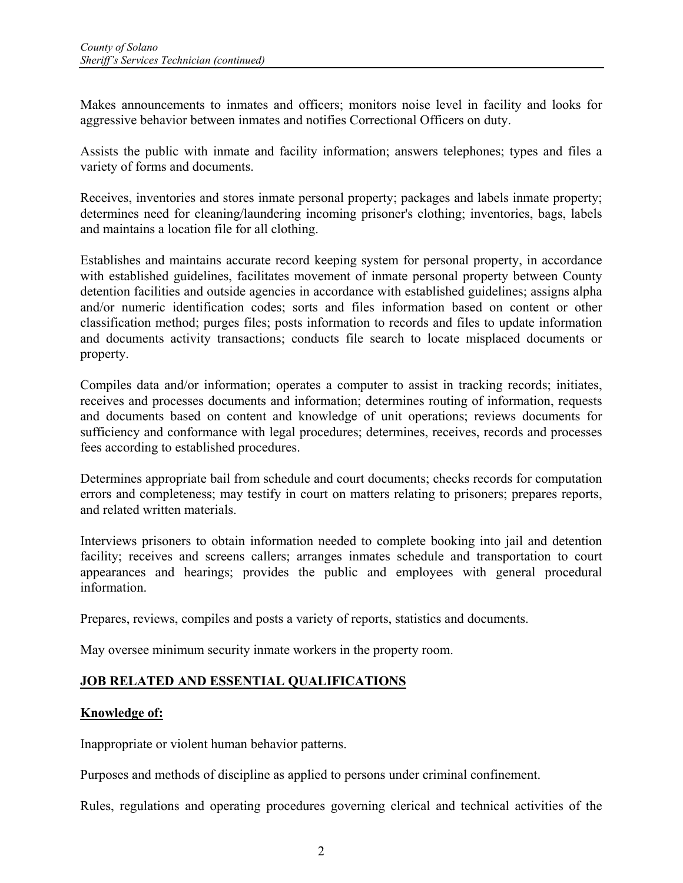Makes announcements to inmates and officers; monitors noise level in facility and looks for aggressive behavior between inmates and notifies Correctional Officers on duty.

Assists the public with inmate and facility information; answers telephones; types and files a variety of forms and documents.

Receives, inventories and stores inmate personal property; packages and labels inmate property; determines need for cleaning/laundering incoming prisoner's clothing; inventories, bags, labels and maintains a location file for all clothing.

Establishes and maintains accurate record keeping system for personal property, in accordance with established guidelines, facilitates movement of inmate personal property between County detention facilities and outside agencies in accordance with established guidelines; assigns alpha and/or numeric identification codes; sorts and files information based on content or other classification method; purges files; posts information to records and files to update information and documents activity transactions; conducts file search to locate misplaced documents or property.

Compiles data and/or information; operates a computer to assist in tracking records; initiates, receives and processes documents and information; determines routing of information, requests and documents based on content and knowledge of unit operations; reviews documents for sufficiency and conformance with legal procedures; determines, receives, records and processes fees according to established procedures.

Determines appropriate bail from schedule and court documents; checks records for computation errors and completeness; may testify in court on matters relating to prisoners; prepares reports, and related written materials.

Interviews prisoners to obtain information needed to complete booking into jail and detention facility; receives and screens callers; arranges inmates schedule and transportation to court appearances and hearings; provides the public and employees with general procedural information.

Prepares, reviews, compiles and posts a variety of reports, statistics and documents.

May oversee minimum security inmate workers in the property room.

# **JOB RELATED AND ESSENTIAL QUALIFICATIONS**

#### **Knowledge of:**

Inappropriate or violent human behavior patterns.

Purposes and methods of discipline as applied to persons under criminal confinement.

Rules, regulations and operating procedures governing clerical and technical activities of the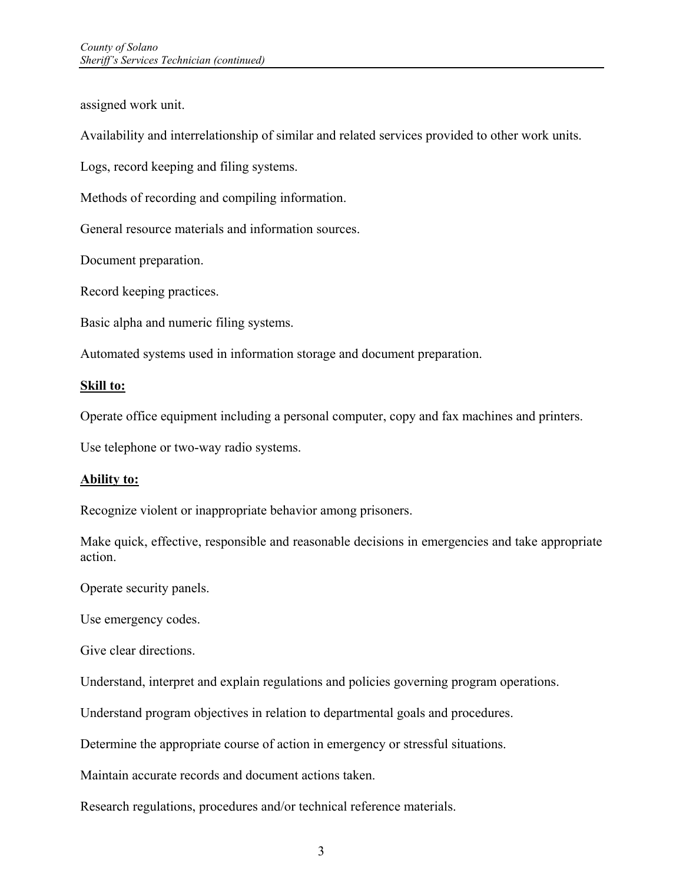assigned work unit.

Availability and interrelationship of similar and related services provided to other work units.

Logs, record keeping and filing systems.

Methods of recording and compiling information.

General resource materials and information sources.

Document preparation.

Record keeping practices.

Basic alpha and numeric filing systems.

Automated systems used in information storage and document preparation.

#### **Skill to:**

Operate office equipment including a personal computer, copy and fax machines and printers.

Use telephone or two-way radio systems.

#### **Ability to:**

Recognize violent or inappropriate behavior among prisoners.

Make quick, effective, responsible and reasonable decisions in emergencies and take appropriate action.

Operate security panels.

Use emergency codes.

Give clear directions.

Understand, interpret and explain regulations and policies governing program operations.

Understand program objectives in relation to departmental goals and procedures.

Determine the appropriate course of action in emergency or stressful situations.

Maintain accurate records and document actions taken.

Research regulations, procedures and/or technical reference materials.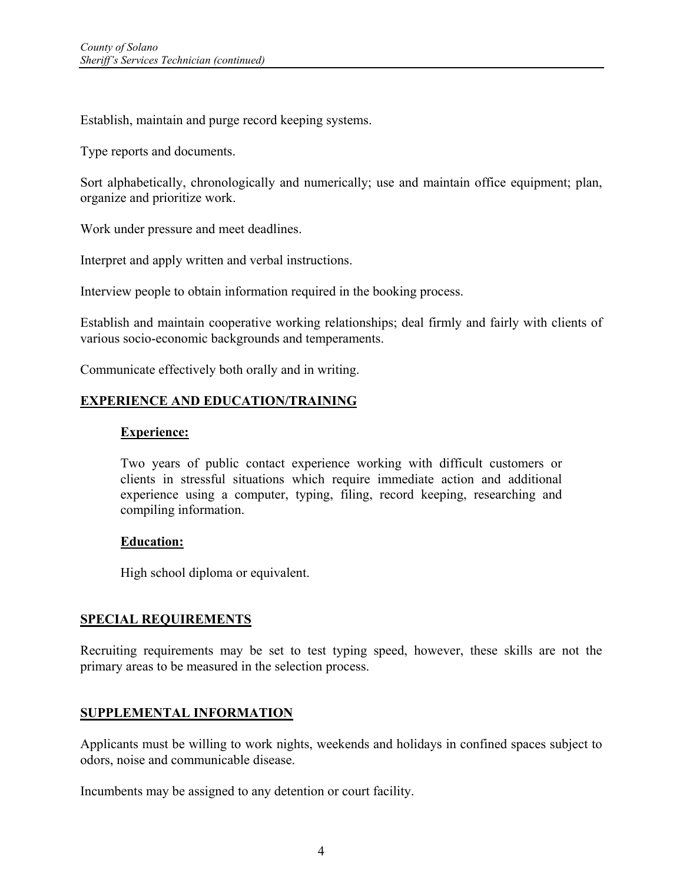Establish, maintain and purge record keeping systems.

Type reports and documents.

Sort alphabetically, chronologically and numerically; use and maintain office equipment; plan, organize and prioritize work.

Work under pressure and meet deadlines.

Interpret and apply written and verbal instructions.

Interview people to obtain information required in the booking process.

Establish and maintain cooperative working relationships; deal firmly and fairly with clients of various socio-economic backgrounds and temperaments.

Communicate effectively both orally and in writing.

## **EXPERIENCE AND EDUCATION/TRAINING**

#### **Experience:**

Two years of public contact experience working with difficult customers or clients in stressful situations which require immediate action and additional experience using a computer, typing, filing, record keeping, researching and compiling information.

#### **Education:**

High school diploma or equivalent.

#### **SPECIAL REQUIREMENTS**

Recruiting requirements may be set to test typing speed, however, these skills are not the primary areas to be measured in the selection process.

#### **SUPPLEMENTAL INFORMATION**

Applicants must be willing to work nights, weekends and holidays in confined spaces subject to odors, noise and communicable disease.

Incumbents may be assigned to any detention or court facility.